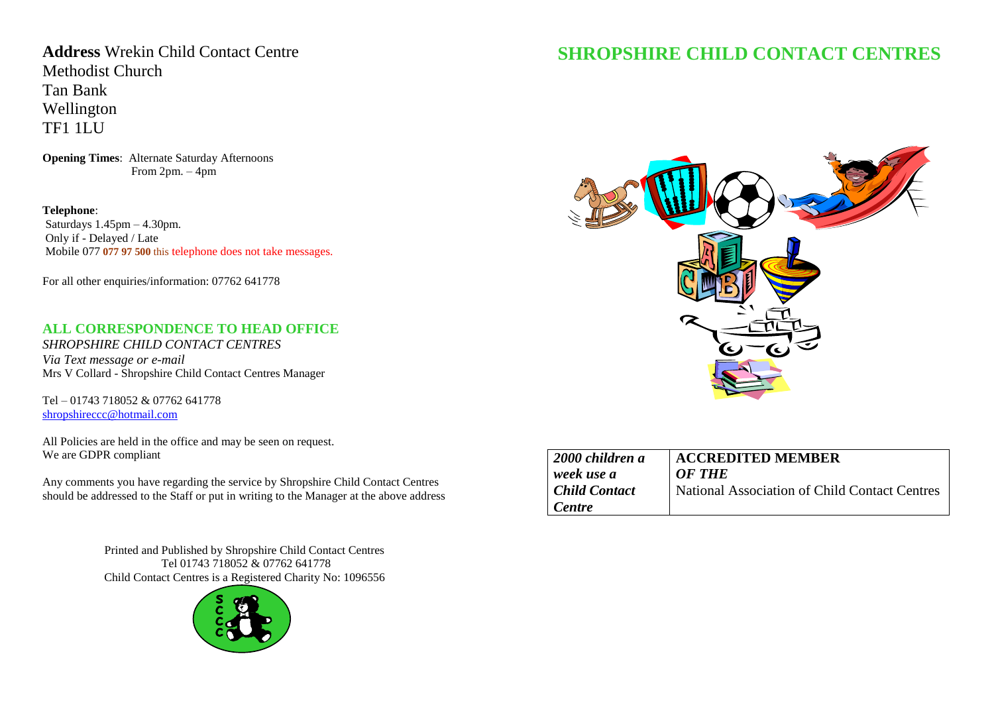**Address** Wrekin Child Contact Centre Methodist Church Tan Bank Wellington TF1 1LU

**Opening Times**: Alternate Saturday Afternoons From  $2pm. - 4pm$ 

**Telephone**: Saturdays 1.45pm – 4.30pm. Only if - Delayed / Late Mobile 077 **077 97 500** this telephone does not take messages.

For all other enquiries/information: 07762 641778

## **ALL CORRESPONDENCE TO HEAD OFFICE**

*SHROPSHIRE CHILD CONTACT CENTRES Via Text message or e-mail* Mrs V Collard - Shropshire Child Contact Centres Manager

Tel – 01743 718052 & 07762 641778 [shropshireccc@hotmail.com](mailto:shropshireccc@hotmail.com)

All Policies are held in the office and may be seen on request. We are GDPR compliant

Any comments you have regarding the service by Shropshire Child Contact Centres should be addressed to the Staff or put in writing to the Manager at the above address

> Printed and Published by Shropshire Child Contact Centres Tel 01743 718052 & 07762 641778 Child Contact Centres is a Registered Charity No: 1096556



# **SHROPSHIRE CHILD CONTACT CENTRES**



| 2000 children a                | <b>ACCREDITED MEMBER</b>                      |
|--------------------------------|-----------------------------------------------|
| week use a                     | OF THE                                        |
| <b>Child Contact</b><br>Centre | National Association of Child Contact Centres |